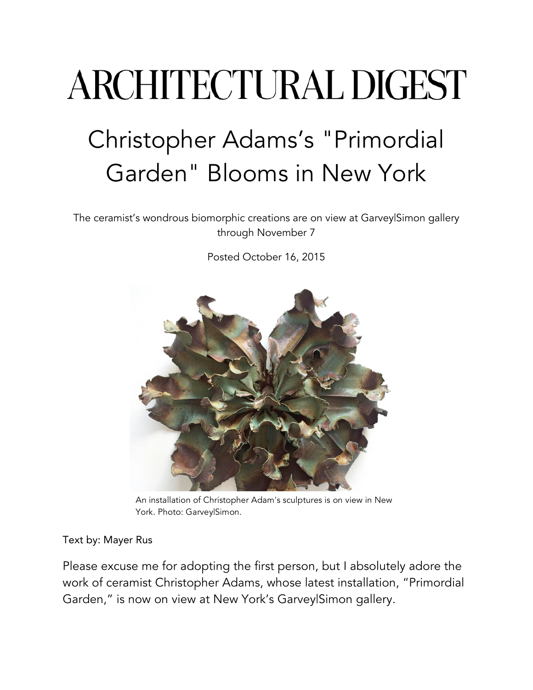## **ARCHITECTURAL DIGEST** Christopher Adams's "Primordial Garden" Blooms in New York

The ceramist's wondrous biomorphic creations are on view at Garvey|Simon gallery through November 7

Posted October 16, 2015



An installation of Christopher Adam's sculptures is on view in New York. Photo: Garvey|Simon.

## Text by: Mayer Rus

Please excuse me for adopting the first person, but I absolutely adore the work of ceramist Christopher Adams, whose latest installation, "Primordial Garden," is now on view at New York's Garvey|Simon gallery.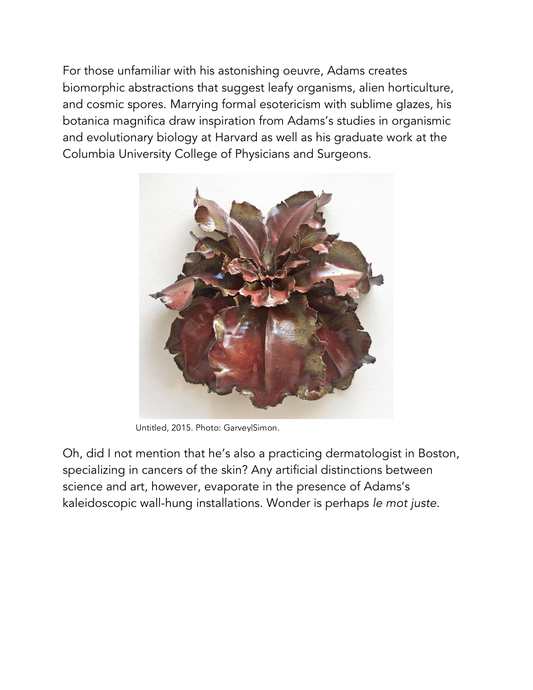For those unfamiliar with his astonishing oeuvre, Adams creates biomorphic abstractions that suggest leafy organisms, alien horticulture, and cosmic spores. Marrying formal esotericism with sublime glazes, his botanica magnifica draw inspiration from Adams's studies in organismic and evolutionary biology at Harvard as well as his graduate work at the Columbia University College of Physicians and Surgeons.



Untitled, 2015. Photo: Garvey|Simon.

Oh, did I not mention that he's also a practicing dermatologist in Boston, specializing in cancers of the skin? Any artificial distinctions between science and art, however, evaporate in the presence of Adams's kaleidoscopic wall-hung installations. Wonder is perhaps *le mot juste*.